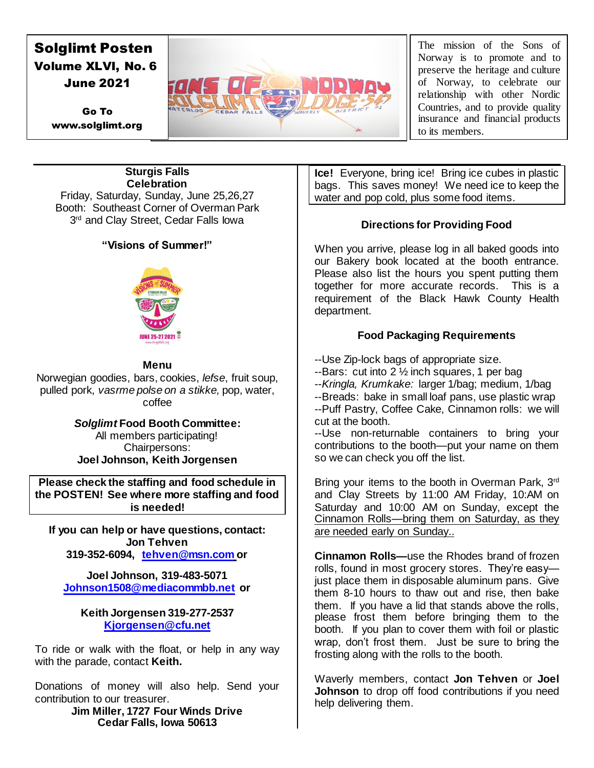# Solglimt Posten Volume XLVI, No. 6

Go To www.solglimt.org



The mission of the Sons of Norway is to promote and to preserve the heritage and culture of Norway, to celebrate our relationship with other Nordic Countries, and to provide quality insurance and financial products to its members.

#### **Sturgis Falls Celebration**

Friday, Saturday, Sunday, June 25,26,27 Booth: Southeast Corner of Overman Park 3<sup>rd</sup> and Clay Street, Cedar Falls lowa

# **"Visions of Summer!"**



# **Menu**

Norwegian goodies, bars, cookies, *lefse*, fruit soup, pulled pork, *vasrme polse on a stikke,* pop, water, coffee

> *Solglimt* **Food Booth Committee:** All members participating! Chairpersons: **Joel Johnson, Keith Jorgensen**

**Please check the staffing and food schedule in the POSTEN! See where more staffing and food is needed!**

**If you can help or have questions, contact: Jon Tehven 319-352-6094, [tehven@msn.com](mailto:tehven@msn.com) or**

**Joel Johnson, 319-483-5071 [Johnson1508@mediacommbb.net](mailto:Johnson1508@mediacommbb.net) or**

#### **Keith Jorgensen 319-277-2537 [Kjorgensen@cfu.net](mailto:Kjorgensen@cfu.net)**

To ride or walk with the float, or help in any way with the parade, contact **Keith.**

Donations of money will also help. Send your contribution to our treasurer.

**Jim Miller, 1727 Four Winds Drive Cedar Falls, Iowa 50613** 

**Ice!** Everyone, bring ice! Bring ice cubes in plastic bags. This saves money! We need ice to keep the water and pop cold, plus some food items.

# **Directions for Providing Food**

When you arrive, please log in all baked goods into our Bakery book located at the booth entrance. Please also list the hours you spent putting them together for more accurate records. This is a requirement of the Black Hawk County Health department.

# **Food Packaging Requirements**

--Use Zip-lock bags of appropriate size.

 $-$ Bars: cut into 2  $\frac{1}{2}$  inch squares, 1 per bag

--*Kringla, Krumkake:* larger 1/bag; medium, 1/bag

--Breads: bake in small loaf pans, use plastic wrap --Puff Pastry, Coffee Cake, Cinnamon rolls: we will cut at the booth.

--Use non-returnable containers to bring your contributions to the booth—put your name on them so we can check you off the list.

Bring your items to the booth in Overman Park, 3rd and Clay Streets by 11:00 AM Friday, 10:AM on Saturday and 10:00 AM on Sunday, except the Cinnamon Rolls—bring them on Saturday, as they are needed early on Sunday..

**Cinnamon Rolls—**use the Rhodes brand of frozen rolls, found in most grocery stores. They're easy just place them in disposable aluminum pans. Give them 8-10 hours to thaw out and rise, then bake them. If you have a lid that stands above the rolls, please frost them before bringing them to the booth. If you plan to cover them with foil or plastic wrap, don't frost them. Just be sure to bring the frosting along with the rolls to the booth.

Waverly members, contact **Jon Tehven** or **Joel Johnson** to drop off food contributions if you need help delivering them.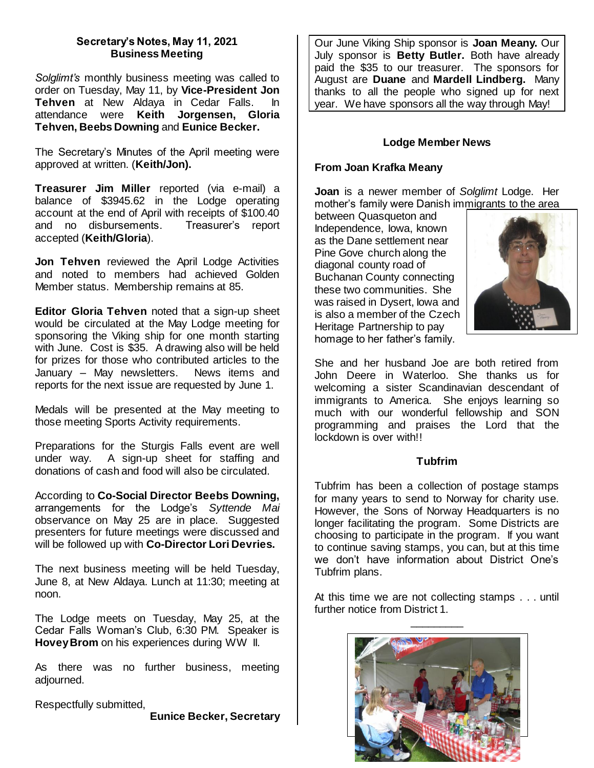### **Secretary's Notes, May 11, 2021 Business Meeting**

*Solglimt's* monthly business meeting was called to order on Tuesday, May 11, by **Vice-President Jon Tehven** at New Aldaya in Cedar Falls. In attendance were **Keith Jorgensen, Gloria Tehven, Beebs Downing** and **Eunice Becker.** 

The Secretary's Minutes of the April meeting were approved at written. (**Keith/Jon).**

**Treasurer Jim Miller** reported (via e-mail) a balance of \$3945.62 in the Lodge operating account at the end of April with receipts of \$100.40 and no disbursements. Treasurer's report accepted (**Keith/Gloria**).

**Jon Tehven** reviewed the April Lodge Activities and noted to members had achieved Golden Member status. Membership remains at 85.

**Editor Gloria Tehven** noted that a sign-up sheet would be circulated at the May Lodge meeting for sponsoring the Viking ship for one month starting with June. Cost is \$35. A drawing also will be held for prizes for those who contributed articles to the January – May newsletters. News items and reports for the next issue are requested by June 1.

Medals will be presented at the May meeting to those meeting Sports Activity requirements.

Preparations for the Sturgis Falls event are well under way. A sign-up sheet for staffing and donations of cash and food will also be circulated.

According to **Co-Social Director Beebs Downing,**  arrangements for the Lodge's *Syttende Mai*  observance on May 25 are in place. Suggested presenters for future meetings were discussed and will be followed up with **Co-Director Lori Devries.**

The next business meeting will be held Tuesday, June 8, at New Aldaya. Lunch at 11:30; meeting at noon.

The Lodge meets on Tuesday, May 25, at the Cedar Falls Woman's Club, 6:30 PM. Speaker is **Hovey Brom** on his experiences during WW II.

As there was no further business, meeting adjourned.

Respectfully submitted,

**Eunice Becker, Secretary**

Our June Viking Ship sponsor is **Joan Meany.** Our July sponsor is **Betty Butler.** Both have already paid the \$35 to our treasurer. The sponsors for August are **Duane** and **Mardell Lindberg.** Many thanks to all the people who signed up for next year. We have sponsors all the way through May!

#### **Lodge Member News**

#### **From Joan Krafka Meany**

**Joan** is a newer member of *Solglimt* Lodge. Her mother's family were Danish immigrants to the area

between Quasqueton and Independence, Iowa, known as the Dane settlement near Pine Gove church along the diagonal county road of Buchanan County connecting these two communities. She was raised in Dysert, Iowa and is also a member of the Czech Heritage Partnership to pay homage to her father's family.



She and her husband Joe are both retired from John Deere in Waterloo. She thanks us for welcoming a sister Scandinavian descendant of immigrants to America. She enjoys learning so much with our wonderful fellowship and SON programming and praises the Lord that the lockdown is over with!!

#### **Tubfrim**

Tubfrim has been a collection of postage stamps for many years to send to Norway for charity use. However, the Sons of Norway Headquarters is no longer facilitating the program. Some Districts are choosing to participate in the program. If you want to continue saving stamps, you can, but at this time we don't have information about District One's Tubfrim plans.

At this time we are not collecting stamps . . . until further notice from District 1.

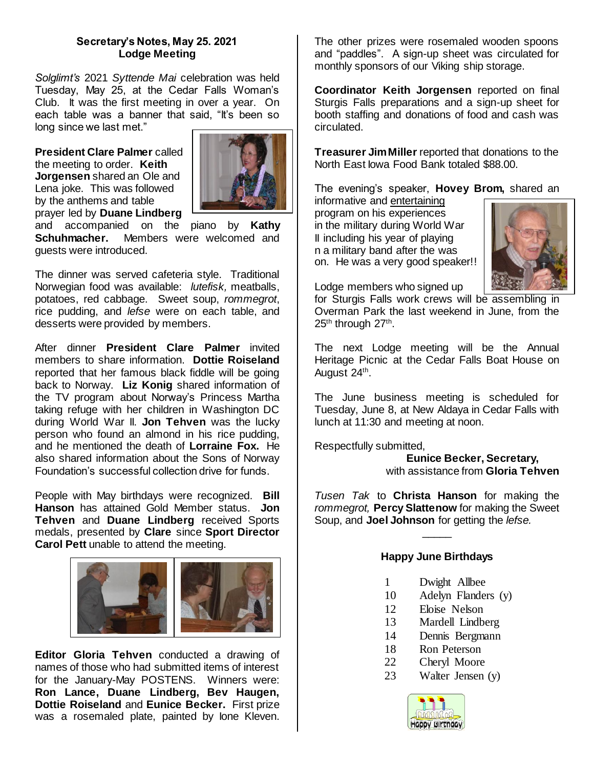### **Secretary's Notes, May 25. 2021 Lodge Meeting**

*Solglimt's* 2021 *Syttende Mai* celebration was held Tuesday, May 25, at the Cedar Falls Woman's Club. It was the first meeting in over a year. On each table was a banner that said, "It's been so long since we last met."

**President Clare Palmer** called the meeting to order. **Keith Jorgensen** shared an Ole and Lena joke. This was followed by the anthems and table prayer led by **Duane Lindberg** 



and accompanied on the piano by **Kathy Schuhmacher.** Members were welcomed and guests were introduced.

The dinner was served cafeteria style. Traditional Norwegian food was available: *lutefisk,* meatballs, potatoes, red cabbage. Sweet soup, *rommegrot*, rice pudding, and *lefse* were on each table, and desserts were provided by members.

After dinner **President Clare Palmer** invited members to share information. **Dottie Roiseland**  reported that her famous black fiddle will be going back to Norway. **Liz Konig** shared information of the TV program about Norway's Princess Martha taking refuge with her children in Washington DC during World War II. **Jon Tehven** was the lucky person who found an almond in his rice pudding, and he mentioned the death of **Lorraine Fox.** He also shared information about the Sons of Norway Foundation's successful collection drive for funds.

People with May birthdays were recognized. **Bill Hanson** has attained Gold Member status. **Jon Tehven** and **Duane Lindberg** received Sports medals, presented by **Clare** since **Sport Director Carol Pett** unable to attend the meeting.



**Editor Gloria Tehven** conducted a drawing of names of those who had submitted items of interest for the January-May POSTENS. Winners were: **Ron Lance, Duane Lindberg, Bev Haugen, Dottie Roiseland** and **Eunice Becker.** First prize was a rosemaled plate, painted by Ione Kleven.

The other prizes were rosemaled wooden spoons and "paddles". A sign-up sheet was circulated for monthly sponsors of our Viking ship storage.

**Coordinator Keith Jorgensen** reported on final Sturgis Falls preparations and a sign-up sheet for booth staffing and donations of food and cash was circulated.

**Treasurer Jim Miller** reported that donations to the North East Iowa Food Bank totaled \$88.00.

The evening's speaker, **Hovey Brom,** shared an

informative and entertaining program on his experiences in the military during World War II including his year of playing n a military band after the was on. He was a very good speaker!!



Lodge members who signed up

for Sturgis Falls work crews will be assembling in Overman Park the last weekend in June, from the 25<sup>th</sup> through 27<sup>th</sup>.

The next Lodge meeting will be the Annual Heritage Picnic at the Cedar Falls Boat House on August 24<sup>th</sup>.

The June business meeting is scheduled for Tuesday, June 8, at New Aldaya in Cedar Falls with lunch at 11:30 and meeting at noon.

Respectfully submitted,

 **Eunice Becker, Secretary,** with assistance from **Gloria Tehven**

*Tusen Tak* to **Christa Hanson** for making the *rommegrot,* **Percy Slattenow** for making the Sweet Soup, and **Joel Johnson** for getting the *lefse.* 

# **Happy June Birthdays**

 $\overline{\phantom{a}}$ 

- 1 Dwight Allbee
- 10 Adelyn Flanders (y)
- 12 Eloise Nelson
- 13 Mardell Lindberg
- 14 Dennis Bergmann
- 18 Ron Peterson
- 22 Cheryl Moore
- 23 Walter Jensen (y)